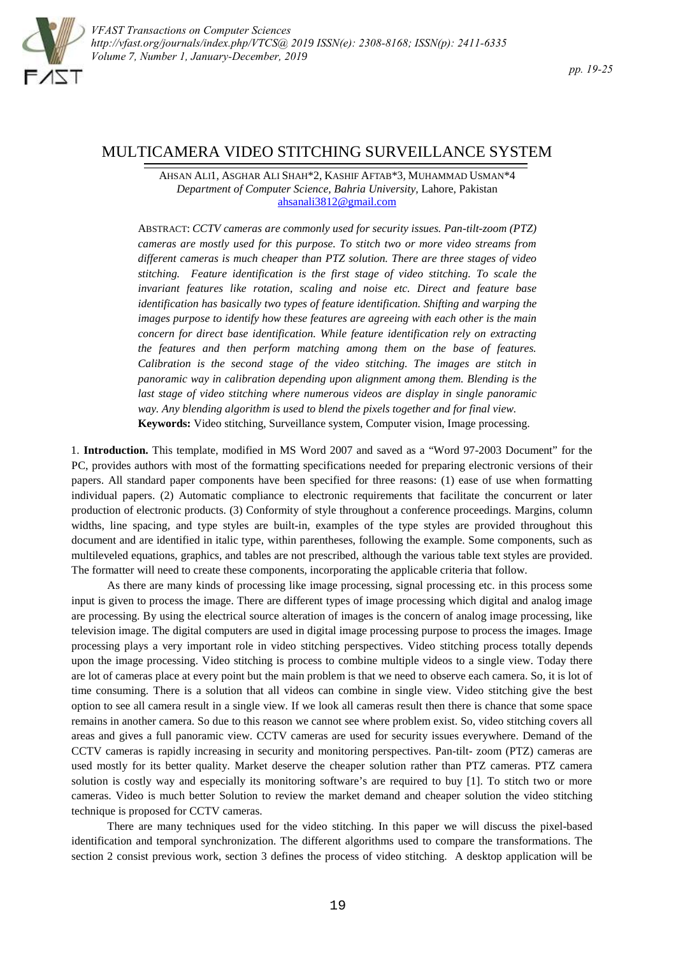

# MULTICAMERA VIDEO STITCHING SURVEILLANCE SYSTEM

AHSAN ALI1, ASGHAR ALI SHAH\*2, KASHIF AFTAB\*3, MUHAMMAD USMAN\*4 *Department of Computer Science, Bahria University,* Lahore, Pakistan ahsanali3812@gmail.com

ABSTRACT: *CCTV cameras are commonly used for security issues. Pan-tilt-zoom (PTZ) cameras are mostly used for this purpose. To stitch two or more video streams from different cameras is much cheaper than PTZ solution. There are three stages of video stitching. Feature identification is the first stage of video stitching. To scale the invariant features like rotation, scaling and noise etc. Direct and feature base identification has basically two types of feature identification. Shifting and warping the images purpose to identify how these features are agreeing with each other is the main concern for direct base identification. While feature identification rely on extracting the features and then perform matching among them onthe base of features. Calibration is the second stage of the video stitching. The images are stitch in panoramic way in calibration depending upon alignment among them. Blending is the last stage of video stitching where numerous videos are display in single panoramic way. Any blending algorithm is used to blend the pixels together and for final view.* **Keywords:** Video stitching, Surveillance system, Computer vision, Image processing.

1. **Introduction.** This template, modified in MS Word 2007 and saved as a "Word 97-2003 Document" for the PC, provides authors with most of the formatting specifications needed for preparing electronic versions of their papers. All standard paper components have been specified for three reasons: (1) ease of use when formatting individual papers. (2) Automatic compliance to electronic requirements that facilitate the concurrent or later production of electronic products. (3) Conformity of style throughout a conference proceedings. Margins, column widths, line spacing, and type styles are built-in, examples of the type styles are provided throughout this document and are identified in italic type, within parentheses, following the example. Some components, such as multileveled equations, graphics, and tables are not prescribed, although the various table text styles are provided. The formatter will need to create these components, incorporating the applicable criteria that follow.

As there are many kinds of processing like image processing, signal processing etc. in this process some input is given to process the image. There are different types of image processing which digital and analog image are processing. By using the electrical source alteration of images is the concern of analog image processing, like television image. The digital computers are used in digital image processing purpose to process the images. Image processing plays a very important role in video stitching perspectives. Video stitching process totally depends upon the image processing. Video stitching is process to combine multiple videos to a single view. Today there are lot of cameras place at every point but the main problem is that we need to observe each camera. So, it is lot of time consuming. There is a solution that all videos can combine in single view. Video stitching give the best option to see all camera result in a single view. If we look all cameras result then there is chance that some space remains in another camera. So due to this reason we cannot see where problem exist. So, video stitching covers all areas and gives a full panoramic view. CCTV cameras are used for security issues everywhere. Demand of the CCTV cameras is rapidly increasing in security and monitoring perspectives. Pan-tilt- zoom (PTZ) cameras are used mostly for its better quality. Market deserve the cheaper solution rather than PTZ cameras. PTZ camera solution is costly way and especially its monitoring software's are required to buy [1]. To stitch two or more cameras. Video is much better Solution to review the market demand and cheaper solution the video stitching technique is proposed for CCTV cameras.

There are many techniques used for the video stitching. In this paper we will discuss the pixel-based identification and temporal synchronization. The different algorithms used to compare the transformations. The section 2 consist previous work, section 3 defines the process of video stitching. A desktop application will be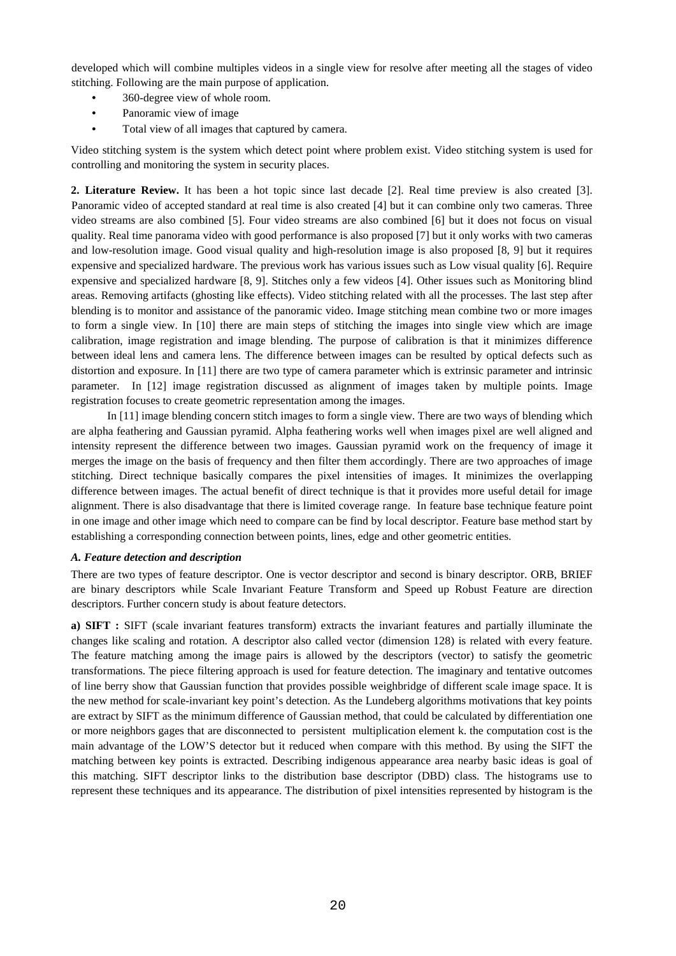developed which will combine multiples videos in a single view for resolve after meeting all the stages of video stitching. Following are the main purpose of application.

- 360-degree view of whole room.
- Panoramic view of image
- Total view of all images that captured by camera.

Video stitching system is the system which detect point where problem exist. Video stitching system is used for controlling and monitoring the system in security places.

**2. Literature Review.** It has been a hot topic since last decade [2]. Real time preview is also created [3]. Panoramic video of accepted standard at real time is also created [4] but it can combine only two cameras. Three video streams are also combined [5]. Four video streams are also combined [6] but it does not focus on visual quality. Real time panorama video with good performance is also proposed [7] but it only works with two cameras and low-resolution image. Good visual quality and high-resolution image is also proposed [8, 9] but it requires expensive and specialized hardware. The previous work has various issues such as Low visual quality [6]. Require expensive and specialized hardware [8, 9]. Stitches only a few videos [4]. Other issues such as Monitoring blind areas. Removing artifacts (ghosting like effects). Video stitching related with all the processes. The last step after blending is to monitor and assistance of the panoramic video. Image stitching mean combine two or more images to form a single view. In [10] there are main steps of stitching the images into single view which are image calibration, image registration and image blending. The purpose of calibration is that it minimizes difference between ideal lens and camera lens. The difference between images can be resulted by optical defects such as distortion and exposure. In [11] there are two type of camera parameter which is extrinsic parameter and intrinsic parameter. In [12] image registration discussed as alignment of images taken by multiple points. Image registration focuses to create geometric representation among the images.

In [11] image blending concern stitch images to form a single view. There are two ways of blending which are alpha feathering and Gaussian pyramid. Alpha feathering works well when images pixel are well aligned and intensity represent the difference between two images. Gaussian pyramid work on the frequency of image it merges the image on the basis of frequency and then filter them accordingly. There are two approaches of image stitching. Direct technique basically compares the pixel intensities of images. It minimizes the overlapping difference between images. The actual benefit of direct technique is that it provides more useful detail for image alignment. There is also disadvantage that there is limited coverage range. In feature base technique feature point in one image and other image which need to compare can be find by local descriptor. Feature base method start by establishing a corresponding connection between points, lines, edge and other geometric entities.

### *A. Feature detection and description*

There are two types of feature descriptor. One is vector descriptor and second is binary descriptor. ORB, BRIEF are binary descriptors while Scale Invariant Feature Transform and Speed up Robust Feature are direction descriptors. Further concern study is about feature detectors.

**a) SIFT :** SIFT (scale invariant features transform) extracts the invariant features and partially illuminate the changes like scaling and rotation. A descriptor also called vector (dimension 128) is related with every feature. The feature matching among the image pairs is allowed by the descriptors (vector) to satisfy the geometric transformations. The piece filtering approach is used for feature detection. The imaginary and tentative outcomes of line berry show that Gaussian function that provides possible weighbridge of different scale image space. It is the new method for scale-invariant key point's detection. As the Lundeberg algorithms motivations that key points are extract by SIFT as the minimum difference of Gaussian method, that could be calculated by differentiation one or more neighbors gages that are disconnected to persistent multiplication element k. the computation cost is the main advantage of the LOW'S detector but it reduced when compare with this method. By using the SIFT the matching between key points is extracted. Describing indigenous appearance area nearby basic ideas is goal of this matching. SIFT descriptor links to the distribution base descriptor (DBD) class. The histograms use to represent these techniques and its appearance. The distribution of pixel intensities represented by histogram is the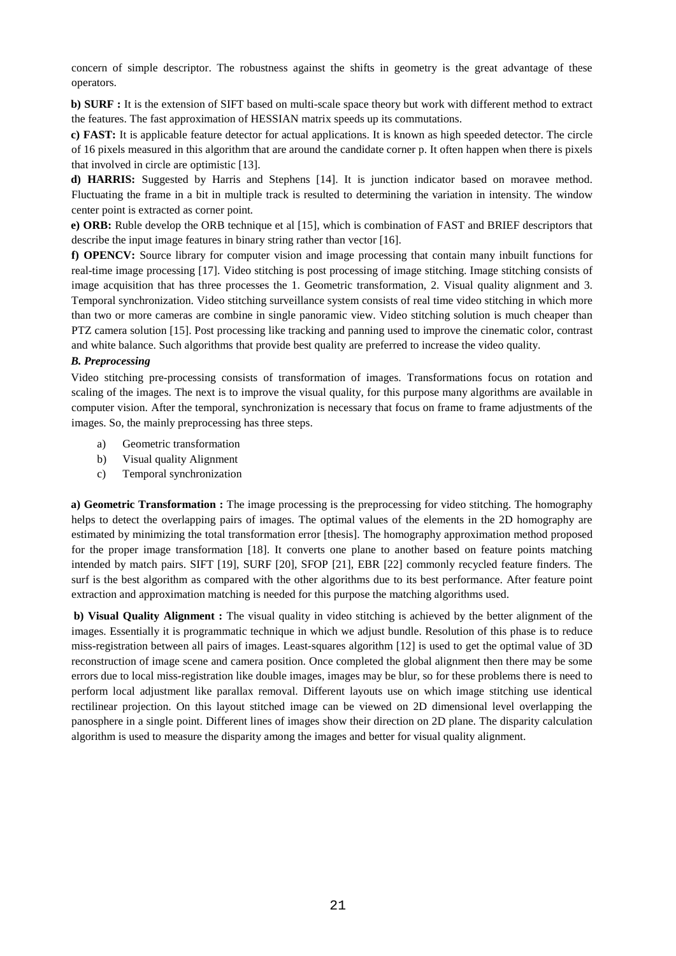concern of simple descriptor. The robustness against the shifts in geometry is the great advantage of these operators.

**b) SURF :** It is the extension of SIFT based on multi-scale space theory but work with different method to extract the features. The fast approximation of HESSIAN matrix speeds up its commutations.

**c) FAST:** It is applicable feature detector for actual applications. It is known as high speeded detector. The circle of 16 pixels measured in this algorithm that are around the candidate corner p. It often happen when there is pixels that involved in circle are optimistic [13].

**d) HARRIS:** Suggested by Harris and Stephens [14]. It is junction indicator based on moravee method. Fluctuating the frame in a bit in multiple track is resulted to determining the variation in intensity. The window center point is extracted as corner point*.*

**e) ORB:** Ruble develop the ORB technique et al [15], which is combination of FAST and BRIEF descriptors that describe the input image features in binary string rather than vector [16].

**f) OPENCV:** Source library for computer vision and image processing that contain many inbuilt functions for real-time image processing [17]. Video stitching is post processing of image stitching. Image stitching consists of image acquisition that has three processes the 1. Geometric transformation, 2. Visual quality alignment and 3. Temporal synchronization. Video stitching surveillance system consists of real time video stitching in which more than two or more cameras are combine in single panoramic view. Video stitching solution is much cheaper than PTZ camera solution [15]. Post processing like tracking and panning used to improve the cinematic color, contrast and white balance. Such algorithms that provide best quality are preferred to increase the video quality.

#### *B. Preprocessing*

Video stitching pre-processing consists of transformation of images. Transformations focus on rotation and scaling of the images. The next is to improve the visual quality, for this purpose many algorithms are available in computer vision. After the temporal, synchronization is necessary that focus on frame to frame adjustments of the images. So, the mainly preprocessing has three steps.

- a) Geometric transformation
- b) Visual quality Alignment
- c) Temporal synchronization

**a) Geometric Transformation :** The image processing is the preprocessing for video stitching. The homography helps to detect the overlapping pairs of images. The optimal values of the elements in the 2D homography are estimated by minimizing the total transformation error [thesis]. The homography approximation method proposed for the proper image transformation [18]. It converts one plane to another based on feature points matching intended by match pairs. SIFT [19], SURF [20], SFOP [21], EBR [22] commonly recycled feature finders. The surf is the best algorithm as compared with the other algorithms due to its best performance. After feature point extraction and approximation matching is needed for this purpose the matching algorithms used.

**b) Visual Quality Alignment :** The visual quality in video stitching is achieved by the better alignment of the images. Essentially it is programmatic technique in which we adjust bundle. Resolution of this phase is to reduce miss-registration between all pairs of images. Least-squares algorithm [12] is used to get the optimal value of 3D reconstruction of image scene and camera position. Once completed the global alignment then there may be some errors due to local miss-registration like double images, images may be blur, so for these problems there is need to perform local adjustment like parallax removal. Different layouts use on which image stitching use identical rectilinear projection. On this layout stitched image can be viewed on 2D dimensional level overlapping the panosphere in a single point. Different lines of images show their direction on 2D plane. The disparity calculation algorithm is used to measure the disparity among the images and better for visual quality alignment.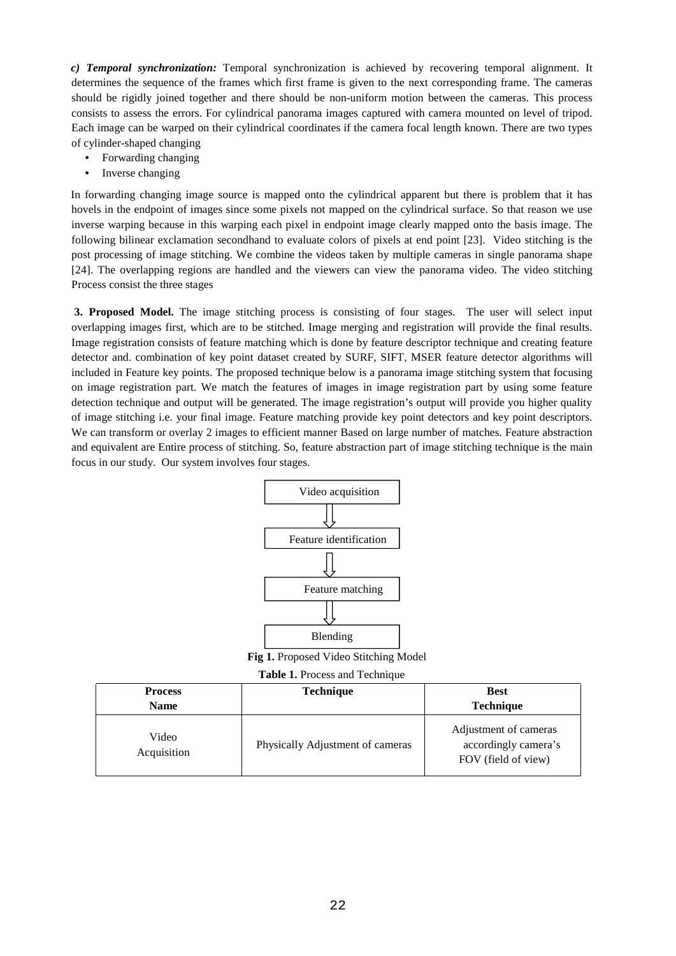*c) Temporal synchronization:* Temporal synchronization is achieved by recovering temporal alignment. It determines the sequence of the frames which first frame is given to the next corresponding frame. The cameras should be rigidly joined together and there should be non-uniform motion between the cameras. This process consists to assess the errors. For cylindrical panorama images captured with camera mounted on level of tripod. Each image can be warped on their cylindrical coordinates if the camera focal length known. There are two types of cylinder-shaped changing

- Forwarding changing
- Inverse changing

In forwarding changing image source is mapped onto the cylindrical apparent but there is problem that it has hovels in the endpoint of images since some pixels not mapped on the cylindrical surface. So that reason we use inverse warping because in this warping each pixel in endpoint image clearly mapped onto the basis image. The following bilinear exclamation secondhand to evaluate colors of pixels at end point [23]. Video stitching is the post processing of image stitching. We combine the videos taken by multiple cameras in single panorama shape [24]. The overlapping regions are handled and the viewers can view the panorama video. The video stitching Process consist the three stages

**3. Proposed Model.** The image stitching process is consisting of four stages. The user will select input overlapping images first, which are to be stitched. Image merging and registration will provide the final results. Image registration consists of feature matching which is done by feature descriptor technique and creating feature detector and. combination of key point dataset created by SURF, SIFT, MSER feature detector algorithms will included in Feature key points. The proposed technique below is a panorama image stitching system that focusing on image registration part. We match the features of images in image registration part by using some feature detection technique and output will be generated. The image registration's output will provide you higher quality of image stitching i.e. your final image. Feature matching provide key point detectors and key point descriptors. We can transform or overlay 2 images to efficient manner Based on large number of matches. Feature abstraction and equivalent are Entire process of stitching. So, feature abstraction part of image stitching technique is the main focus in our study. Our system involves four stages.



**Fig 1.** Proposed Video Stitching Model

| <b>Process</b><br><b>Name</b> | <b>Technique</b>                 | <b>Best</b><br>Technique                                             |
|-------------------------------|----------------------------------|----------------------------------------------------------------------|
| Video<br>Acquisition          | Physically Adjustment of cameras | Adjustment of cameras<br>accordingly camera's<br>FOV (field of view) |

## **Table 1.** Process and Technique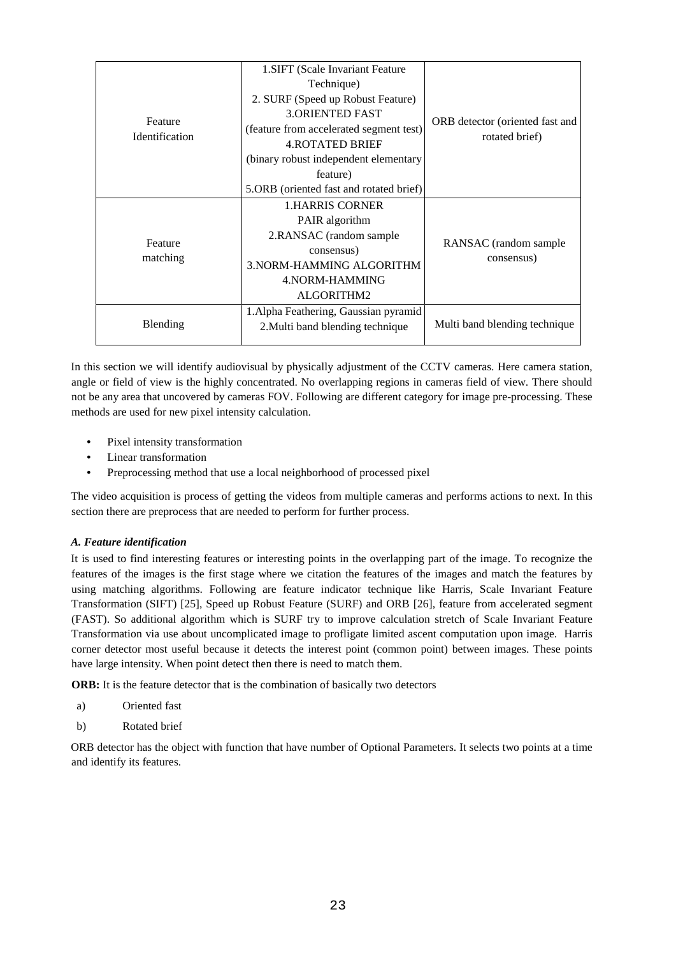| Feature<br><b>Identification</b> | 1. SIFT (Scale Invariant Feature)       | ORB detector (oriented fast and<br>rotated brief) |
|----------------------------------|-----------------------------------------|---------------------------------------------------|
|                                  | Technique)                              |                                                   |
|                                  | 2. SURF (Speed up Robust Feature)       |                                                   |
|                                  | <b>3. ORIENTED FAST</b>                 |                                                   |
|                                  | (feature from accelerated segment test) |                                                   |
|                                  | <b>4.ROTATED BRIEF</b>                  |                                                   |
|                                  | (binary robust independent elementary   |                                                   |
|                                  | feature)                                |                                                   |
|                                  | 5.ORB (oriented fast and rotated brief) |                                                   |
| Feature<br>matching              | 1.HARRIS CORNER                         | RANSAC (random sample)<br>consensus)              |
|                                  | PAIR algorithm                          |                                                   |
|                                  | 2.RANSAC (random sample                 |                                                   |
|                                  | consensus)                              |                                                   |
|                                  | 3. NORM-HAMMING ALGORITHM               |                                                   |
|                                  | 4. NORM-HAMMING                         |                                                   |
|                                  | ALGORITHM2                              |                                                   |
| Blending                         | 1. Alpha Feathering, Gaussian pyramid   | Multi band blending technique                     |
|                                  | 2. Multi band blending technique        |                                                   |
|                                  |                                         |                                                   |

In this section we will identify audiovisual by physically adjustment of the CCTV cameras. Here camera station, angle or field of view is the highly concentrated. No overlapping regions in cameras field of view. There should not be any area that uncovered by cameras FOV. Following are different category for image pre-processing. These methods are used for new pixel intensity calculation.

- Pixel intensity transformation
- Linear transformation
- Preprocessing method that use a local neighborhood of processed pixel

The video acquisition is process of getting the videos from multiple cameras and performs actions to next. In this section there are preprocess that are needed to perform for further process.

### *A. Feature identification*

It is used to find interesting features or interesting points in the overlapping part of the image. To recognize the features of the images is the first stage where we citation the features of the images and match the features by using matching algorithms. Following are feature indicator technique like Harris, Scale Invariant Feature Transformation (SIFT) [25], Speed up Robust Feature (SURF) and ORB [26], feature from accelerated segment (FAST). So additional algorithm which is SURF try to improve calculation stretch of Scale Invariant Feature Transformation via use about uncomplicated image to profligate limited ascent computation upon image. Harris corner detector most useful because it detects the interest point (common point) between images. These points have large intensity. When point detect then there is need to match them.

**ORB:** It is the feature detector that is the combination of basically two detectors

- a) Oriented fast
- b) Rotated brief

ORB detector has the object with function that have number of Optional Parameters. It selects two points at a time and identify its features.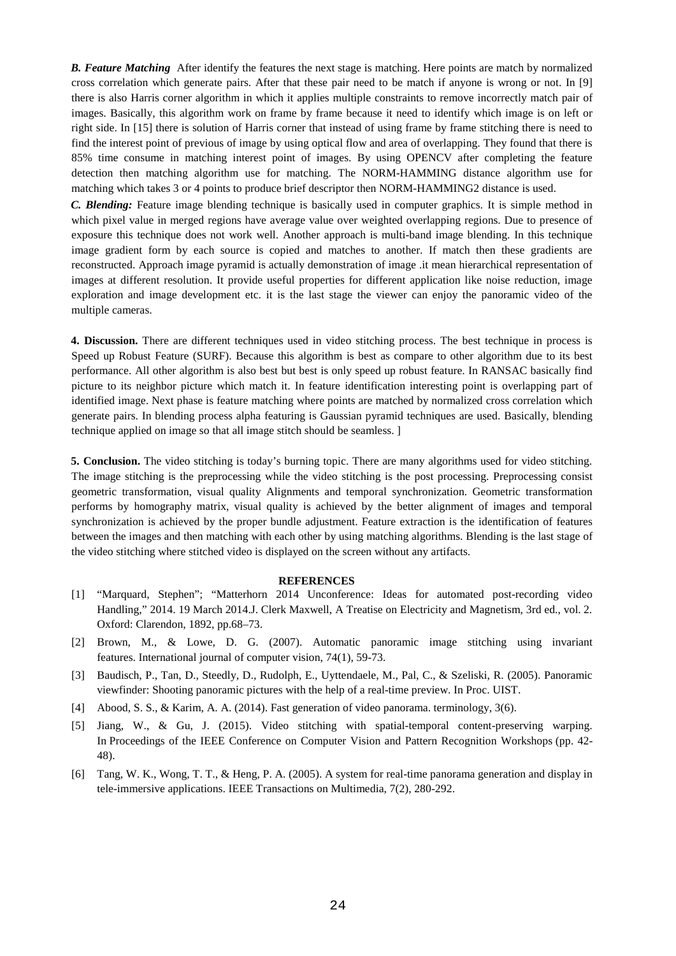*B. Feature Matching* After identify the features the next stage is matching. Here points are match by normalized cross correlation which generate pairs. After that these pair need to be match if anyone is wrong or not. In [9] there is also Harris corner algorithm in which it applies multiple constraints to remove incorrectly match pair of images. Basically, this algorithm work on frame by frame because it need to identify which image is on left or right side. In [15] there is solution of Harris corner that instead of using frame by frame stitching there is need to find the interest point of previous of image by using optical flow and area of overlapping. They found that there is 85% time consume in matching interest point of images. By using OPENCV after completing the feature detection then matching algorithm use for matching. The NORM-HAMMING distance algorithm use for matching which takes 3 or 4 points to produce brief descriptor then NORM-HAMMING2 distance is used.

*C. Blending:* Feature image blending technique is basically used in computer graphics. It is simple method in which pixel value in merged regions have average value over weighted overlapping regions. Due to presence of exposure this technique does not work well. Another approach is multi-band image blending. In this technique image gradient form by each source is copied and matches to another. If match then these gradients are reconstructed. Approach image pyramid is actually demonstration of image .it mean hierarchical representation of images at different resolution. It provide useful properties for different application like noise reduction, image exploration and image development etc. it is the last stage the viewer can enjoy the panoramic video of the multiple cameras.

**4. Discussion.** There are different techniques used in video stitching process. The best technique in process is Speed up Robust Feature (SURF). Because this algorithm is best as compare to other algorithm due to its best performance. All other algorithm is also best but best is only speed up robust feature. In RANSAC basically find picture to its neighbor picture which match it. In feature identification interesting point is overlapping part of identified image. Next phase is feature matching where points are matched by normalized cross correlation which generate pairs. In blending process alpha featuring is Gaussian pyramid techniques are used. Basically, blending technique applied on image so that all image stitch should be seamless. ]

**5. Conclusion.** The video stitching is today's burning topic. There are many algorithms used for video stitching. The image stitching is the preprocessing while the video stitching is the post processing. Preprocessing consist geometric transformation, visual quality Alignments and temporal synchronization. Geometric transformation performs by homography matrix, visual quality is achieved by the better alignment of images and temporal synchronization is achieved by the proper bundle adjustment. Feature extraction is the identification of features between the images and then matching with each other by using matching algorithms. Blending is the last stage of the video stitching where stitched video is displayed on the screen without any artifacts.

#### **REFERENCES**

- [1] "Marquard, Stephen"; "Matterhorn 2014 Unconference: Ideas for automated post-recording video Handling," 2014. 19 March 2014.J. Clerk Maxwell, A Treatise on Electricity and Magnetism, 3rd ed., vol. 2. Oxford: Clarendon, 1892, pp.68–73.
- [2] Brown, M., & Lowe, D. G. (2007). Automatic panoramic image stitching using invariant features. International journal of computer vision, 74(1), 59-73.
- [3] Baudisch, P., Tan, D., Steedly, D., Rudolph, E., Uyttendaele, M., Pal, C., & Szeliski, R. (2005). Panoramic viewfinder: Shooting panoramic pictures with the help of a real-time preview. In Proc. UIST.
- [4] Abood, S. S., & Karim, A. A. (2014). Fast generation of video panorama. terminology, 3(6).
- [5] Jiang, W., & Gu, J. (2015). Video stitching with spatial-temporal content-preserving warping. In Proceedings of the IEEE Conference on Computer Vision and Pattern Recognition Workshops (pp. 42- 48).
- [6] Tang, W. K., Wong, T. T., & Heng, P. A. (2005). A system for real-time panorama generation and display in tele-immersive applications. IEEE Transactions on Multimedia, 7(2), 280-292.